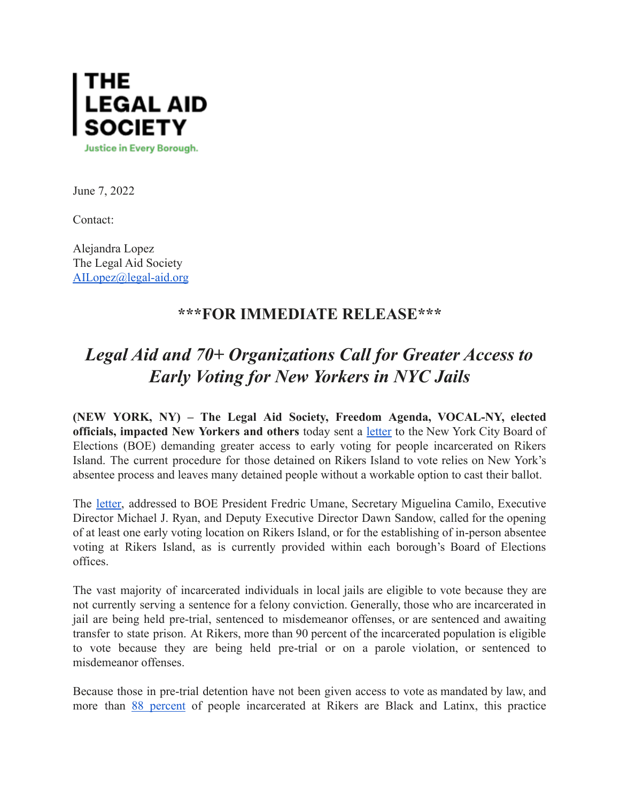

June 7, 2022

Contact:

Alejandra Lopez The Legal Aid Society [AILopez@legal-aid.org](mailto:AILopez@legal-aid.org)

## **\*\*\*FOR IMMEDIATE RELEASE\*\*\***

## *Legal Aid and 70+ Organizations Call for Greater Access to Early Voting for New Yorkers in NYC Jails*

**(NEW YORK, NY) – The Legal Aid Society, Freedom Agenda, VOCAL-NY, elected officials, impacted New Yorkers and others** today sent a [letter](https://legalaidnyc.org/wp-content/uploads/2022/06/Letter-to-Board-of-Elections-Signed-by-Electeds-and-Community-Organizations.pdf) to the New York City Board of Elections (BOE) demanding greater access to early voting for people incarcerated on Rikers Island. The current procedure for those detained on Rikers Island to vote relies on New York's absentee process and leaves many detained people without a workable option to cast their ballot.

The [letter,](https://legalaidnyc.org/wp-content/uploads/2022/06/Letter-to-Board-of-Elections-Signed-by-Electeds-and-Community-Organizations.pdf) addressed to BOE President Fredric Umane, Secretary Miguelina Camilo, Executive Director Michael J. Ryan, and Deputy Executive Director Dawn Sandow, called for the opening of at least one early voting location on Rikers Island, or for the establishing of in-person absentee voting at Rikers Island, as is currently provided within each borough's Board of Elections offices.

The vast majority of incarcerated individuals in local jails are eligible to vote because they are not currently serving a sentence for a felony conviction. Generally, those who are incarcerated in jail are being held pre-trial, sentenced to misdemeanor offenses, or are sentenced and awaiting transfer to state prison. At Rikers, more than 90 percent of the incarcerated population is eligible to vote because they are being held pre-trial or on a parole violation, or sentenced to misdemeanor offenses.

Because those in pre-trial detention have not been given access to vote as mandated by law, and more than 88 [percent](https://data.cityofnewyork.us/Public-Safety/Daily-Inmates-In-Custody/7479-ugqb) of people incarcerated at Rikers are Black and Latinx, this practice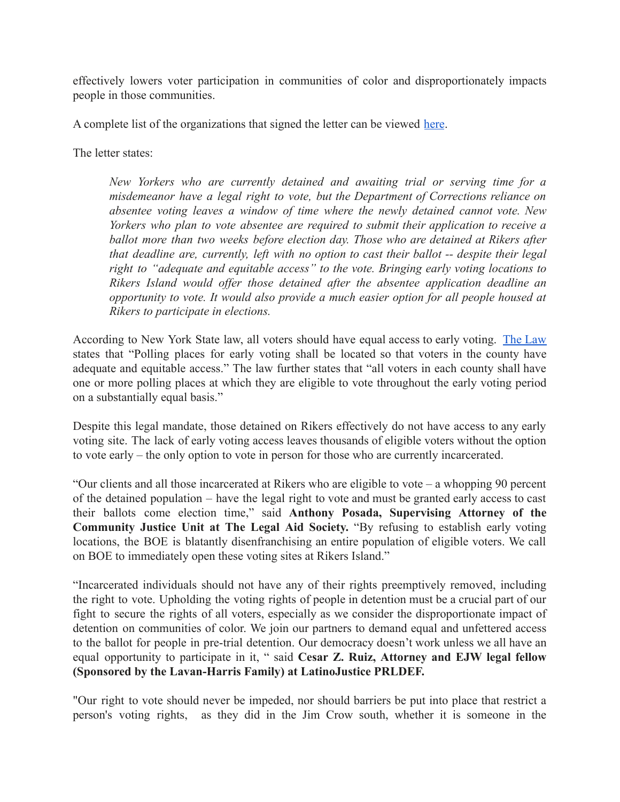effectively lowers voter participation in communities of color and disproportionately impacts people in those communities.

A complete list of the organizations that signed the letter can be viewed [here](https://legalaidnyc.org/wp-content/uploads/2022/06/Letter-to-Board-of-Elections-Signed-by-Electeds-and-Community-Organizations.pdf).

The letter states:

*New Yorkers who are currently detained and awaiting trial or serving time for a misdemeanor have a legal right to vote, but the Department of Corrections reliance on absentee voting leaves a window of time where the newly detained cannot vote. New Yorkers who plan to vote absentee are required to submit their application to receive a ballot more than two weeks before election day. Those who are detained at Rikers after that deadline are, currently, left with no option to cast their ballot -- despite their legal right to "adequate and equitable access" to the vote. Bringing early voting locations to Rikers Island would offer those detained after the absentee application deadline an opportunity to vote. It would also provide a much easier option for all people housed at Rikers to participate in elections.*

According to New York State law, all voters should have equal access to early voting. The [Law](https://www.nysenate.gov/legislation/laws/ELN/8-600) states that "Polling places for early voting shall be located so that voters in the county have adequate and equitable access." The law further states that "all voters in each county shall have one or more polling places at which they are eligible to vote throughout the early voting period on a substantially equal basis."

Despite this legal mandate, those detained on Rikers effectively do not have access to any early voting site. The lack of early voting access leaves thousands of eligible voters without the option to vote early – the only option to vote in person for those who are currently incarcerated.

"Our clients and all those incarcerated at Rikers who are eligible to vote – a whopping 90 percent of the detained population – have the legal right to vote and must be granted early access to cast their ballots come election time," said **Anthony Posada, Supervising Attorney of the Community Justice Unit at The Legal Aid Society.** "By refusing to establish early voting locations, the BOE is blatantly disenfranchising an entire population of eligible voters. We call on BOE to immediately open these voting sites at Rikers Island."

"Incarcerated individuals should not have any of their rights preemptively removed, including the right to vote. Upholding the voting rights of people in detention must be a crucial part of our fight to secure the rights of all voters, especially as we consider the disproportionate impact of detention on communities of color. We join our partners to demand equal and unfettered access to the ballot for people in pre-trial detention. Our democracy doesn't work unless we all have an equal opportunity to participate in it, " said **Cesar Z. Ruiz, Attorney and EJW legal fellow (Sponsored by the Lavan-Harris Family) at LatinoJustice PRLDEF.**

"Our right to vote should never be impeded, nor should barriers be put into place that restrict a person's voting rights, as they did in the Jim Crow south, whether it is someone in the